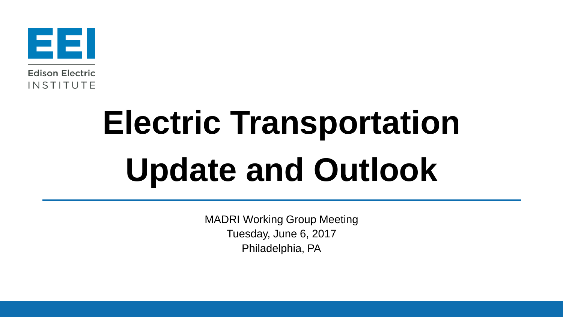

# **Electric Transportation Update and Outlook**

MADRI Working Group Meeting Tuesday, June 6, 2017 Philadelphia, PA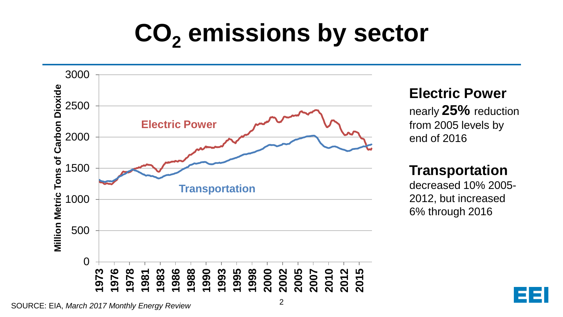# **CO<sup>2</sup> emissions by sector**

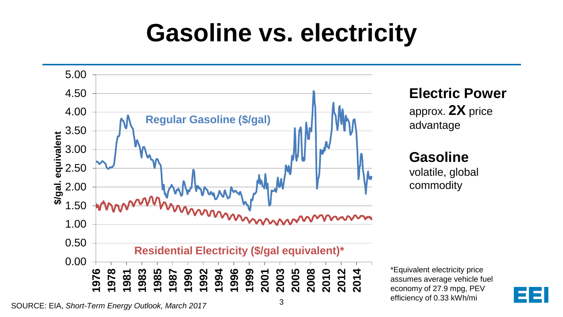# **Gasoline vs. electricity**



SOURCE: EIA, *Short-Term Energy Outlook, March 2017*

3

efficiency of 0.33 kWh/mi

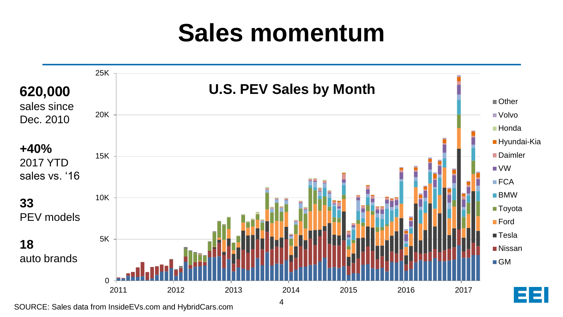# **Sales momentum**



SOURCE: Sales data from InsideEVs.com and HybridCars.com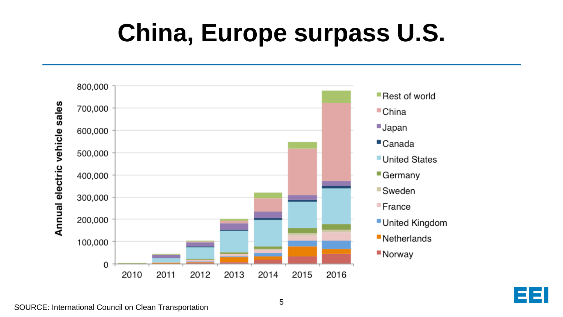# **China, Europe surpass U.S.**



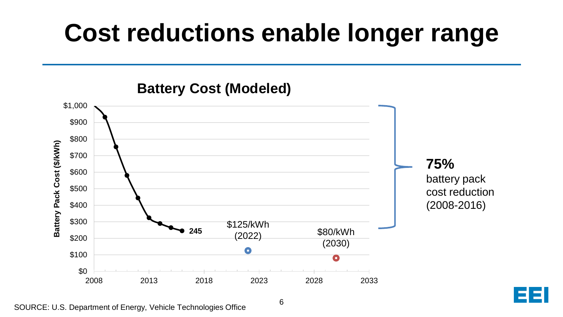# **Cost reductions enable longer range**



### **Battery Cost (Modeled)**

SOURCE: U.S. Department of Energy, Vehicle Technologies Office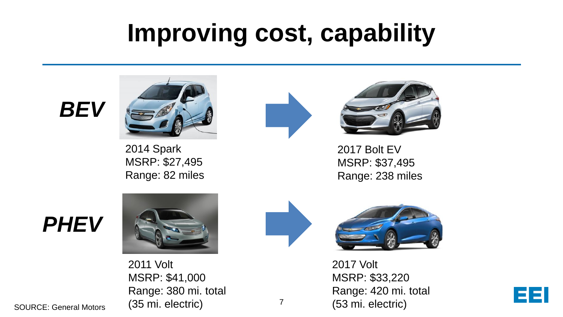## **Improving cost, capability**

### *BEV*



2014 Spark MSRP: \$27,495 Range: 82 miles



7



2017 Bolt EV MSRP: \$37,495 Range: 238 miles

### *PHEV*







2017 Volt MSRP: \$33,220 Range: 420 mi. total (53 mi. electric)



SOURCE: General Motors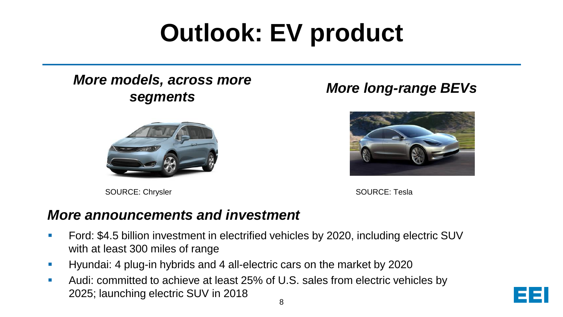# **Outlook: EV product**

#### *More models, across more segments More long-range BEVs*



SOURCE: Chrysler



SOURCE: Tesla

#### *More announcements and investment*

- Ford: \$4.5 billion investment in electrified vehicles by 2020, including electric SUV with at least 300 miles of range
- **Hyundai: 4 plug-in hybrids and 4 all-electric cars on the market by 2020**
- Audi: committed to achieve at least 25% of U.S. sales from electric vehicles by 2025; launching electric SUV in 2018

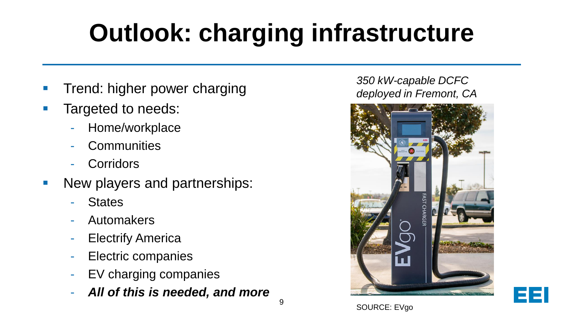# **Outlook: charging infrastructure**

- Trend: higher power charging
- **Targeted to needs:** 
	- Home/workplace
	- **Communities**
	- **Corridors**
- **New players and partnerships:** 
	- **States**
	- **Automakers**
	- Electrify America
	- Electric companies
	- EV charging companies
	- *All of this is needed, and more*

#### *350 kW-capable DCFC deployed in Fremont, CA*





SOURCE: EVgo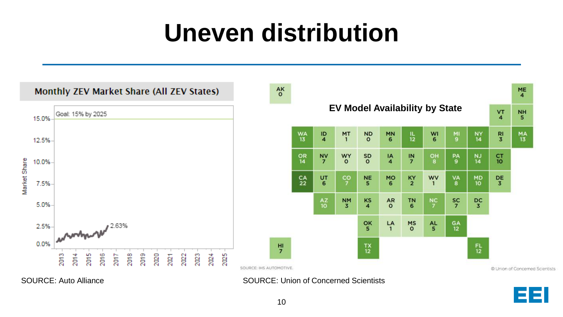# **Uneven distribution**



SOURCE: Auto Alliance Source Source: Union of Concerned Scientists

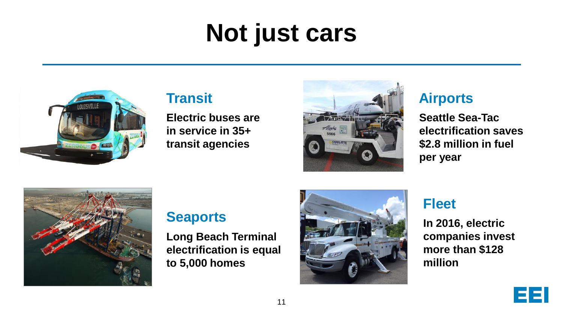# **Not just cars**



### **Transit**

**Electric buses are in service in 35+ transit agencies**



### **Airports**

**Seattle Sea-Tac electrification saves \$2.8 million in fuel per year**



### **Seaports**

**Long Beach Terminal electrification is equal to 5,000 homes**



### **Fleet**

**In 2016, electric companies invest more than \$128 million**

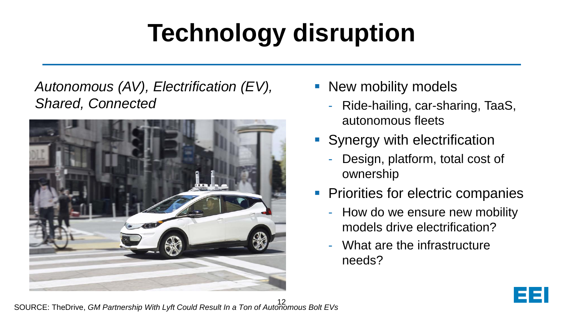# **Technology disruption**

### *Autonomous (AV), Electrification (EV), Shared, Connected*



- New mobility models
	- Ride-hailing, car-sharing, TaaS, autonomous fleets
- **Synergy with electrification** 
	- Design, platform, total cost of ownership
- **Priorities for electric companies** 
	- How do we ensure new mobility models drive electrification?
	- What are the infrastructure needs?

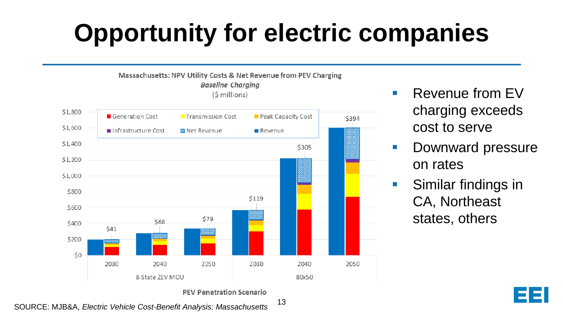# **Opportunity for electric companies**



- **Revenue from FV** charging exceeds cost to serve
- **Downward pressure** on rates
- **Similar findings in** CA, Northeast states, others



13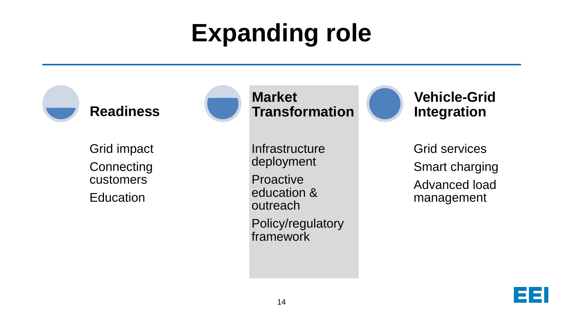# **Expanding role**



Grid impact **Connecting** customers **Education** 



**Market Transformation**

**Infrastructure** deployment

**Proactive** education & outreach

Policy/regulatory framework

**Vehicle-Grid Integration**

Grid services Smart charging Advanced load management

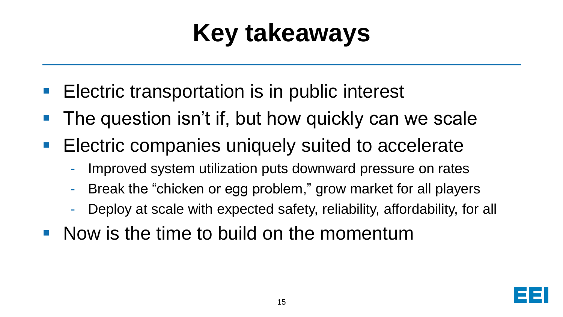# **Key takeaways**

- **Electric transportation is in public interest**
- **The question isn't if, but how quickly can we scale**
- **Electric companies uniquely suited to accelerate** 
	- Improved system utilization puts downward pressure on rates
	- Break the "chicken or egg problem," grow market for all players
	- Deploy at scale with expected safety, reliability, affordability, for all
- Now is the time to build on the momentum